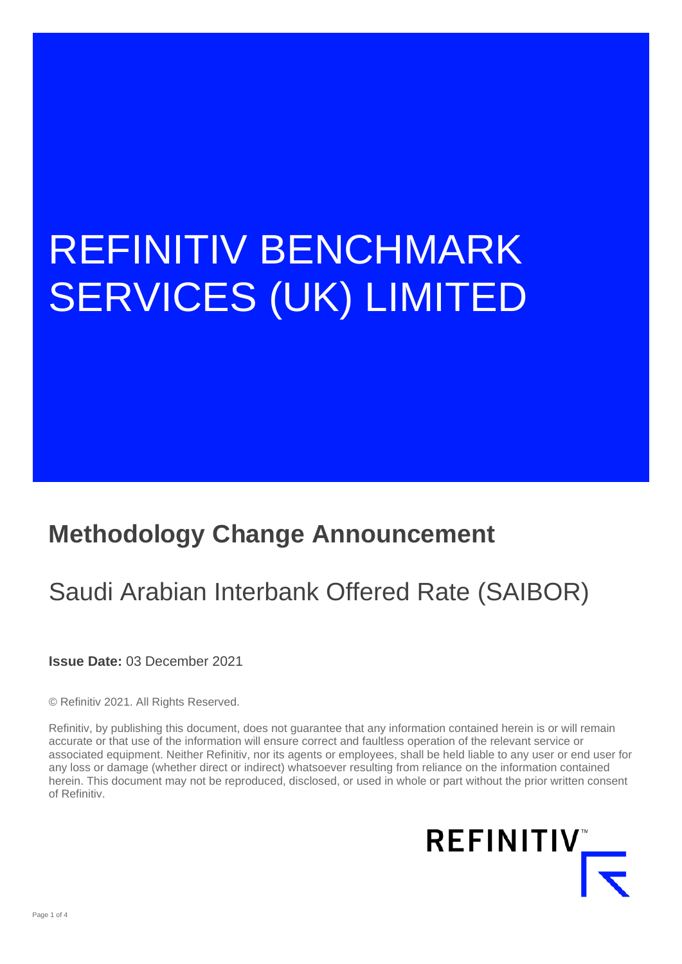# REFINITIV BENCHMARK SERVICES (UK) LIMITED

### **Methodology Change Announcement**

## Saudi Arabian Interbank Offered Rate (SAIBOR)

**Issue Date:** 03 December 2021

© Refinitiv 2021. All Rights Reserved.

Refinitiv, by publishing this document, does not guarantee that any information contained herein is or will remain accurate or that use of the information will ensure correct and faultless operation of the relevant service or associated equipment. Neither Refinitiv, nor its agents or employees, shall be held liable to any user or end user for any loss or damage (whether direct or indirect) whatsoever resulting from reliance on the information contained herein. This document may not be reproduced, disclosed, or used in whole or part without the prior written consent of Refinitiv.

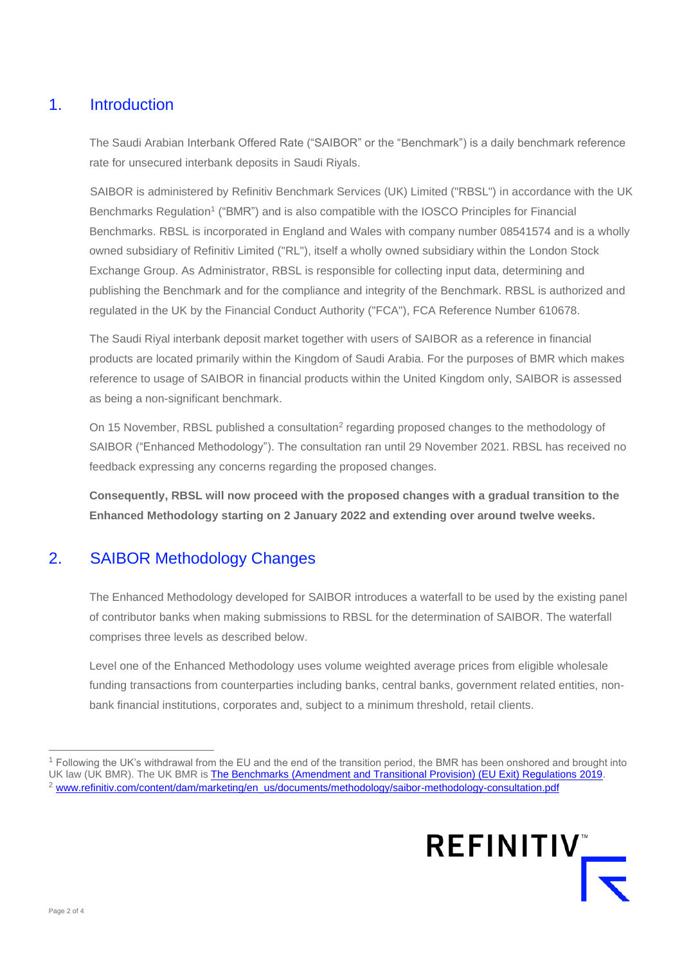#### 1. Introduction

The Saudi Arabian Interbank Offered Rate ("SAIBOR" or the "Benchmark") is a daily benchmark reference rate for unsecured interbank deposits in Saudi Riyals.

SAIBOR is administered by Refinitiv Benchmark Services (UK) Limited ("RBSL") in accordance with the UK Benchmarks Regulation<sup>1</sup> ("BMR") and is also compatible with the IOSCO Principles for Financial Benchmarks. RBSL is incorporated in England and Wales with company number 08541574 and is a wholly owned subsidiary of Refinitiv Limited ("RL"), itself a wholly owned subsidiary within the London Stock Exchange Group. As Administrator, RBSL is responsible for collecting input data, determining and publishing the Benchmark and for the compliance and integrity of the Benchmark. RBSL is authorized and regulated in the UK by the Financial Conduct Authority ("FCA"), FCA Reference Number 610678.

The Saudi Riyal interbank deposit market together with users of SAIBOR as a reference in financial products are located primarily within the Kingdom of Saudi Arabia. For the purposes of BMR which makes reference to usage of SAIBOR in financial products within the United Kingdom only, SAIBOR is assessed as being a non-significant benchmark.

On 15 November, RBSL published a consultation<sup>2</sup> regarding proposed changes to the methodology of SAIBOR ("Enhanced Methodology"). The consultation ran until 29 November 2021. RBSL has received no feedback expressing any concerns regarding the proposed changes.

**Consequently, RBSL will now proceed with the proposed changes with a gradual transition to the Enhanced Methodology starting on 2 January 2022 and extending over around twelve weeks.**

#### 2. SAIBOR Methodology Changes

The Enhanced Methodology developed for SAIBOR introduces a waterfall to be used by the existing panel of contributor banks when making submissions to RBSL for the determination of SAIBOR. The waterfall comprises three levels as described below.

Level one of the Enhanced Methodology uses volume weighted average prices from eligible wholesale funding transactions from counterparties including banks, central banks, government related entities, nonbank financial institutions, corporates and, subject to a minimum threshold, retail clients.

<sup>1</sup> Following the UK's withdrawal from the EU and the end of the transition period, the BMR has been onshored and brought into UK law (UK BMR). The UK BMR is [The Benchmarks \(Amendment and Transitional Provision\) \(EU Exit\) Regulations 2019.](https://www.legislation.gov.uk/uksi/2019/657/made) <sup>2</sup> [www.refinitiv.com/content/dam/marketing/en\\_us/documents/methodology/saibor-methodology-consultation.pdf](http://www.refinitiv.com/content/dam/marketing/en_us/documents/methodology/saibor-methodology-consultation.pdf)

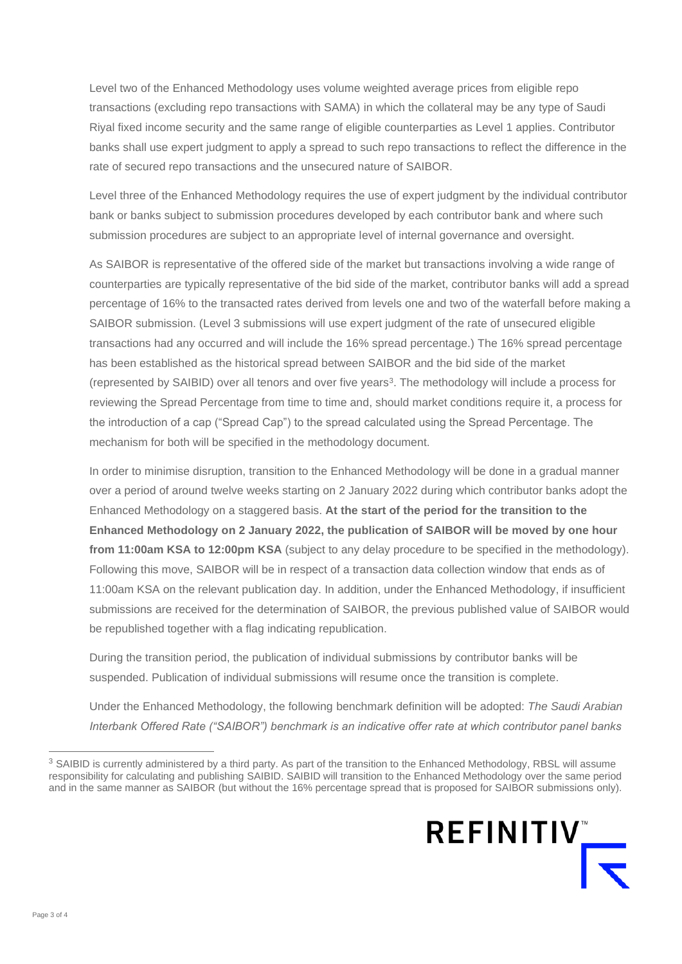Level two of the Enhanced Methodology uses volume weighted average prices from eligible repo transactions (excluding repo transactions with SAMA) in which the collateral may be any type of Saudi Riyal fixed income security and the same range of eligible counterparties as Level 1 applies. Contributor banks shall use expert judgment to apply a spread to such repo transactions to reflect the difference in the rate of secured repo transactions and the unsecured nature of SAIBOR.

Level three of the Enhanced Methodology requires the use of expert judgment by the individual contributor bank or banks subject to submission procedures developed by each contributor bank and where such submission procedures are subject to an appropriate level of internal governance and oversight.

As SAIBOR is representative of the offered side of the market but transactions involving a wide range of counterparties are typically representative of the bid side of the market, contributor banks will add a spread percentage of 16% to the transacted rates derived from levels one and two of the waterfall before making a SAIBOR submission. (Level 3 submissions will use expert judgment of the rate of unsecured eligible transactions had any occurred and will include the 16% spread percentage.) The 16% spread percentage has been established as the historical spread between SAIBOR and the bid side of the market (represented by SAIBID) over all tenors and over five years<sup>3</sup> . The methodology will include a process for reviewing the Spread Percentage from time to time and, should market conditions require it, a process for the introduction of a cap ("Spread Cap") to the spread calculated using the Spread Percentage. The mechanism for both will be specified in the methodology document.

In order to minimise disruption, transition to the Enhanced Methodology will be done in a gradual manner over a period of around twelve weeks starting on 2 January 2022 during which contributor banks adopt the Enhanced Methodology on a staggered basis. **At the start of the period for the transition to the Enhanced Methodology on 2 January 2022, the publication of SAIBOR will be moved by one hour**  from 11:00am KSA to 12:00pm KSA (subject to any delay procedure to be specified in the methodology). Following this move, SAIBOR will be in respect of a transaction data collection window that ends as of 11:00am KSA on the relevant publication day. In addition, under the Enhanced Methodology, if insufficient submissions are received for the determination of SAIBOR, the previous published value of SAIBOR would be republished together with a flag indicating republication.

During the transition period, the publication of individual submissions by contributor banks will be suspended. Publication of individual submissions will resume once the transition is complete.

Under the Enhanced Methodology, the following benchmark definition will be adopted: *The Saudi Arabian Interbank Offered Rate ("SAIBOR") benchmark is an indicative offer rate at which contributor panel banks* 

<sup>&</sup>lt;sup>3</sup> SAIBID is currently administered by a third party. As part of the transition to the Enhanced Methodology, RBSL will assume responsibility for calculating and publishing SAIBID. SAIBID will transition to the Enhanced Methodology over the same period